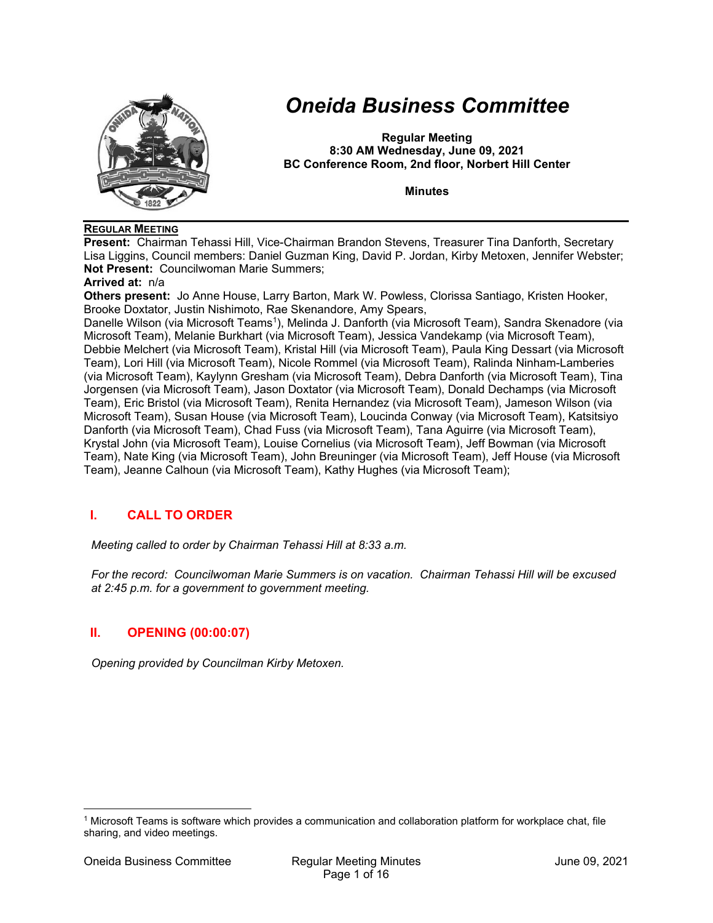

# *Oneida Business Committee*

**Regular Meeting 8:30 AM Wednesday, June 09, 2021 BC Conference Room, 2nd floor, Norbert Hill Center** 

**Minutes** 

#### **REGULAR MEETING**

**Present:** Chairman Tehassi Hill, Vice-Chairman Brandon Stevens, Treasurer Tina Danforth, Secretary Lisa Liggins, Council members: Daniel Guzman King, David P. Jordan, Kirby Metoxen, Jennifer Webster; **Not Present:** Councilwoman Marie Summers;

#### **Arrived at:** n/a

**Others present:** Jo Anne House, Larry Barton, Mark W. Powless, Clorissa Santiago, Kristen Hooker, Brooke Doxtator, Justin Nishimoto, Rae Skenandore, Amy Spears,

Danelle Wilson (via Microsoft Teams<sup>1</sup>), Melinda J. Danforth (via Microsoft Team), Sandra Skenadore (via Microsoft Team), Melanie Burkhart (via Microsoft Team), Jessica Vandekamp (via Microsoft Team), Debbie Melchert (via Microsoft Team), Kristal Hill (via Microsoft Team), Paula King Dessart (via Microsoft Team), Lori Hill (via Microsoft Team), Nicole Rommel (via Microsoft Team), Ralinda Ninham-Lamberies (via Microsoft Team), Kaylynn Gresham (via Microsoft Team), Debra Danforth (via Microsoft Team), Tina Jorgensen (via Microsoft Team), Jason Doxtator (via Microsoft Team), Donald Dechamps (via Microsoft Team), Eric Bristol (via Microsoft Team), Renita Hernandez (via Microsoft Team), Jameson Wilson (via Microsoft Team), Susan House (via Microsoft Team), Loucinda Conway (via Microsoft Team), Katsitsiyo Danforth (via Microsoft Team), Chad Fuss (via Microsoft Team), Tana Aguirre (via Microsoft Team), Krystal John (via Microsoft Team), Louise Cornelius (via Microsoft Team), Jeff Bowman (via Microsoft Team), Nate King (via Microsoft Team), John Breuninger (via Microsoft Team), Jeff House (via Microsoft Team), Jeanne Calhoun (via Microsoft Team), Kathy Hughes (via Microsoft Team);

# **I. CALL TO ORDER**

*Meeting called to order by Chairman Tehassi Hill at 8:33 a.m.* 

*For the record: Councilwoman Marie Summers is on vacation. Chairman Tehassi Hill will be excused at 2:45 p.m. for a government to government meeting.* 

# **II. OPENING (00:00:07)**

*Opening provided by Councilman Kirby Metoxen.* 

<sup>1</sup> Microsoft Teams is software which provides a communication and collaboration platform for workplace chat, file sharing, and video meetings.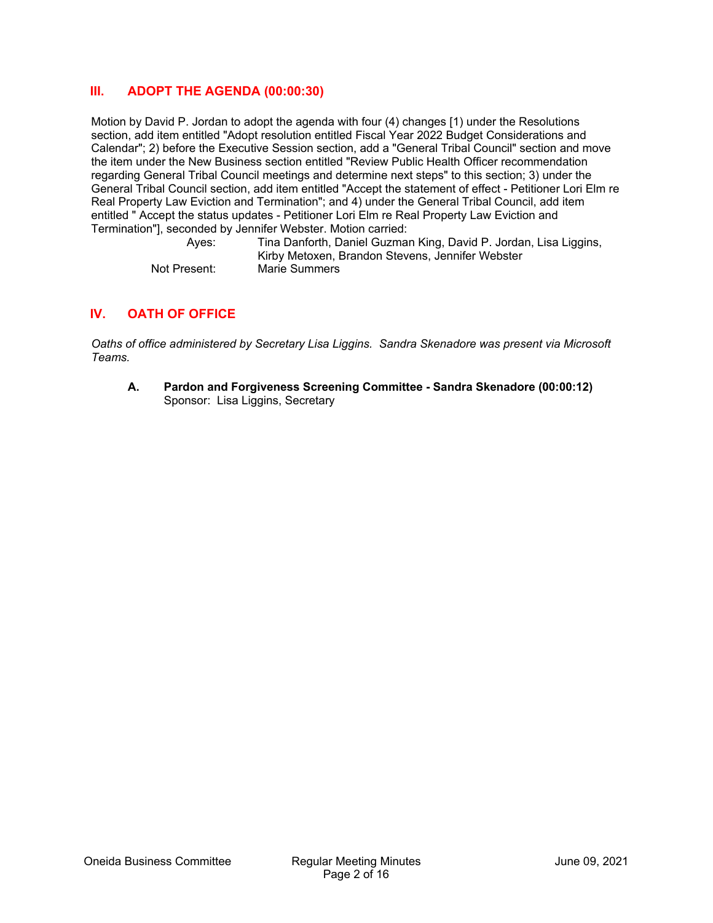## **III. ADOPT THE AGENDA (00:00:30)**

Motion by David P. Jordan to adopt the agenda with four (4) changes [1) under the Resolutions section, add item entitled "Adopt resolution entitled Fiscal Year 2022 Budget Considerations and Calendar"; 2) before the Executive Session section, add a "General Tribal Council" section and move the item under the New Business section entitled "Review Public Health Officer recommendation regarding General Tribal Council meetings and determine next steps" to this section; 3) under the General Tribal Council section, add item entitled "Accept the statement of effect - Petitioner Lori Elm re Real Property Law Eviction and Termination"; and 4) under the General Tribal Council, add item entitled " Accept the status updates - Petitioner Lori Elm re Real Property Law Eviction and Termination"], seconded by Jennifer Webster. Motion carried:

> Ayes: Tina Danforth, Daniel Guzman King, David P. Jordan, Lisa Liggins, Kirby Metoxen, Brandon Stevens, Jennifer Webster Not Present: Marie Summers

# **IV. OATH OF OFFICE**

*Oaths of office administered by Secretary Lisa Liggins. Sandra Skenadore was present via Microsoft Teams.* 

**A. Pardon and Forgiveness Screening Committee - Sandra Skenadore (00:00:12)**  Sponsor: Lisa Liggins, Secretary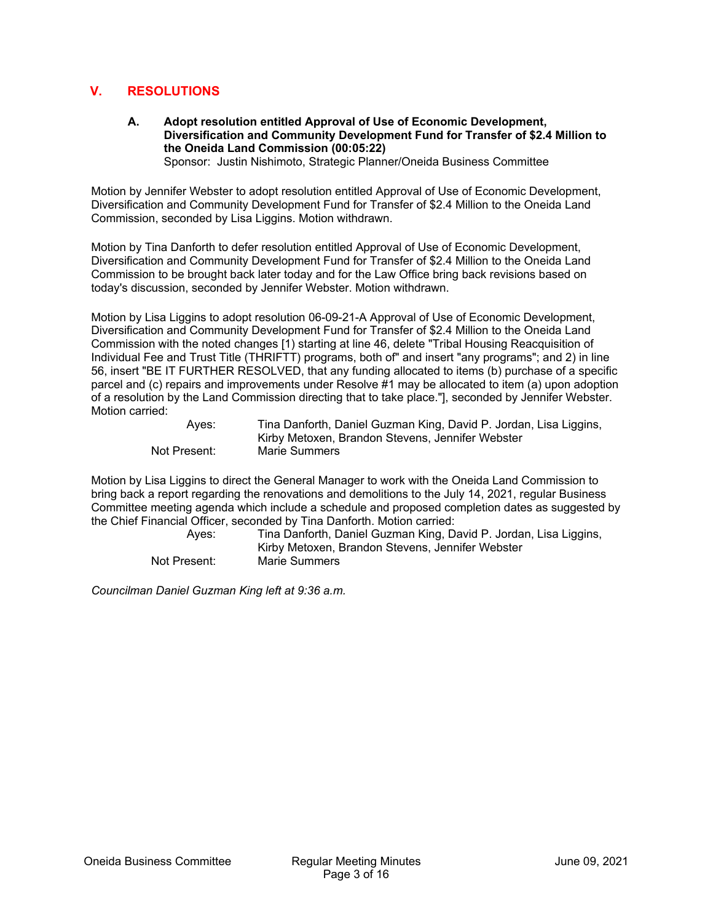# **V. RESOLUTIONS**

**A. Adopt resolution entitled Approval of Use of Economic Development, Diversification and Community Development Fund for Transfer of \$2.4 Million to the Oneida Land Commission (00:05:22)**  Sponsor: Justin Nishimoto, Strategic Planner/Oneida Business Committee

Motion by Jennifer Webster to adopt resolution entitled Approval of Use of Economic Development, Diversification and Community Development Fund for Transfer of \$2.4 Million to the Oneida Land Commission, seconded by Lisa Liggins. Motion withdrawn.

Motion by Tina Danforth to defer resolution entitled Approval of Use of Economic Development, Diversification and Community Development Fund for Transfer of \$2.4 Million to the Oneida Land Commission to be brought back later today and for the Law Office bring back revisions based on today's discussion, seconded by Jennifer Webster. Motion withdrawn.

Motion by Lisa Liggins to adopt resolution 06-09-21-A Approval of Use of Economic Development, Diversification and Community Development Fund for Transfer of \$2.4 Million to the Oneida Land Commission with the noted changes [1) starting at line 46, delete "Tribal Housing Reacquisition of Individual Fee and Trust Title (THRIFTT) programs, both of" and insert "any programs"; and 2) in line 56, insert "BE IT FURTHER RESOLVED, that any funding allocated to items (b) purchase of a specific parcel and (c) repairs and improvements under Resolve #1 may be allocated to item (a) upon adoption of a resolution by the Land Commission directing that to take place."], seconded by Jennifer Webster. Motion carried:

| Ayes:        | Tina Danforth, Daniel Guzman King, David P. Jordan, Lisa Liggins, |
|--------------|-------------------------------------------------------------------|
|              | Kirby Metoxen, Brandon Stevens, Jennifer Webster                  |
| Not Present: | Marie Summers                                                     |

Motion by Lisa Liggins to direct the General Manager to work with the Oneida Land Commission to bring back a report regarding the renovations and demolitions to the July 14, 2021, regular Business Committee meeting agenda which include a schedule and proposed completion dates as suggested by the Chief Financial Officer, seconded by Tina Danforth. Motion carried:

 Ayes: Tina Danforth, Daniel Guzman King, David P. Jordan, Lisa Liggins, Kirby Metoxen, Brandon Stevens, Jennifer Webster Not Present: Marie Summers

*Councilman Daniel Guzman King left at 9:36 a.m.*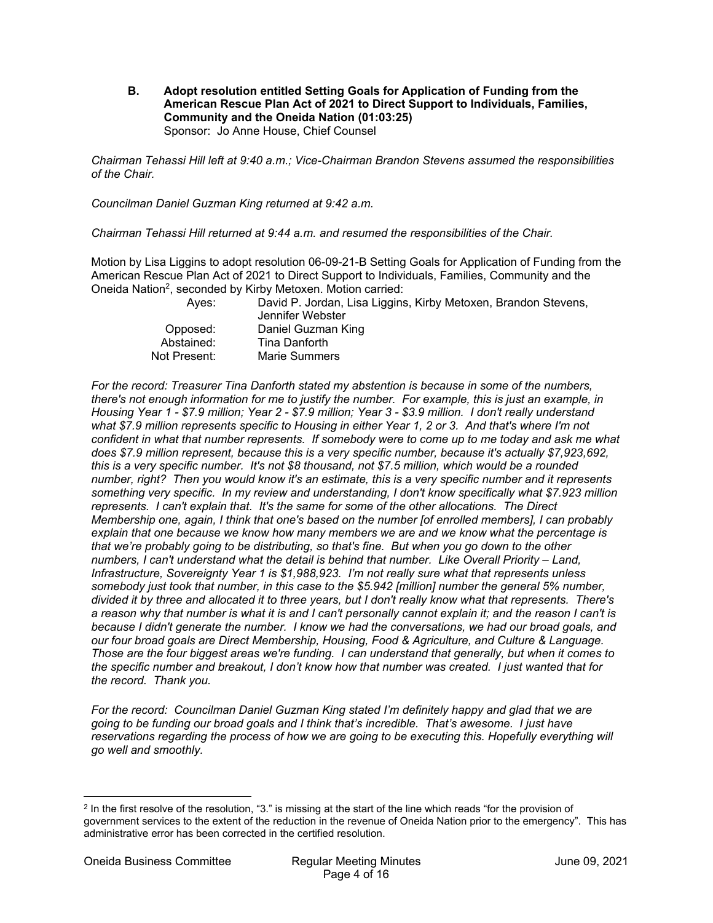**B. Adopt resolution entitled Setting Goals for Application of Funding from the American Rescue Plan Act of 2021 to Direct Support to Individuals, Families, Community and the Oneida Nation (01:03:25)**  Sponsor: Jo Anne House, Chief Counsel

*Chairman Tehassi Hill left at 9:40 a.m.; Vice-Chairman Brandon Stevens assumed the responsibilities of the Chair.* 

*Councilman Daniel Guzman King returned at 9:42 a.m.* 

*Chairman Tehassi Hill returned at 9:44 a.m. and resumed the responsibilities of the Chair.* 

Motion by Lisa Liggins to adopt resolution 06-09-21-B Setting Goals for Application of Funding from the American Rescue Plan Act of 2021 to Direct Support to Individuals, Families, Community and the Oneida Nation2, seconded by Kirby Metoxen. Motion carried:

| Aves:        | David P. Jordan, Lisa Liggins, Kirby Metoxen, Brandon Stevens,<br>Jennifer Webster |
|--------------|------------------------------------------------------------------------------------|
| Opposed:     | Daniel Guzman King                                                                 |
| Abstained:   | Tina Danforth                                                                      |
| Not Present: | Marie Summers                                                                      |

*For the record: Treasurer Tina Danforth stated my abstention is because in some of the numbers, there's not enough information for me to justify the number. For example, this is just an example, in Housing Year 1 - \$7.9 million; Year 2 - \$7.9 million; Year 3 - \$3.9 million. I don't really understand what \$7.9 million represents specific to Housing in either Year 1, 2 or 3. And that's where I'm not confident in what that number represents. If somebody were to come up to me today and ask me what does \$7.9 million represent, because this is a very specific number, because it's actually \$7,923,692, this is a very specific number. It's not \$8 thousand, not \$7.5 million, which would be a rounded number, right? Then you would know it's an estimate, this is a very specific number and it represents something very specific. In my review and understanding, I don't know specifically what \$7.923 million represents. I can't explain that. It's the same for some of the other allocations. The Direct Membership one, again, I think that one's based on the number [of enrolled members], I can probably explain that one because we know how many members we are and we know what the percentage is that we're probably going to be distributing, so that's fine. But when you go down to the other numbers, I can't understand what the detail is behind that number. Like Overall Priority – Land, Infrastructure, Sovereignty Year 1 is \$1,988,923. I'm not really sure what that represents unless somebody just took that number, in this case to the \$5.942 [million] number the general 5% number, divided it by three and allocated it to three years, but I don't really know what that represents. There's a reason why that number is what it is and I can't personally cannot explain it; and the reason I can't is because I didn't generate the number. I know we had the conversations, we had our broad goals, and our four broad goals are Direct Membership, Housing, Food & Agriculture, and Culture & Language. Those are the four biggest areas we're funding. I can understand that generally, but when it comes to the specific number and breakout, I don't know how that number was created. I just wanted that for the record. Thank you.* 

*For the record: Councilman Daniel Guzman King stated I'm definitely happy and glad that we are going to be funding our broad goals and I think that's incredible. That's awesome. I just have*  reservations regarding the process of how we are going to be executing this. Hopefully everything will *go well and smoothly.* 

<sup>2</sup> In the first resolve of the resolution, "3." is missing at the start of the line which reads "for the provision of government services to the extent of the reduction in the revenue of Oneida Nation prior to the emergency". This has administrative error has been corrected in the certified resolution.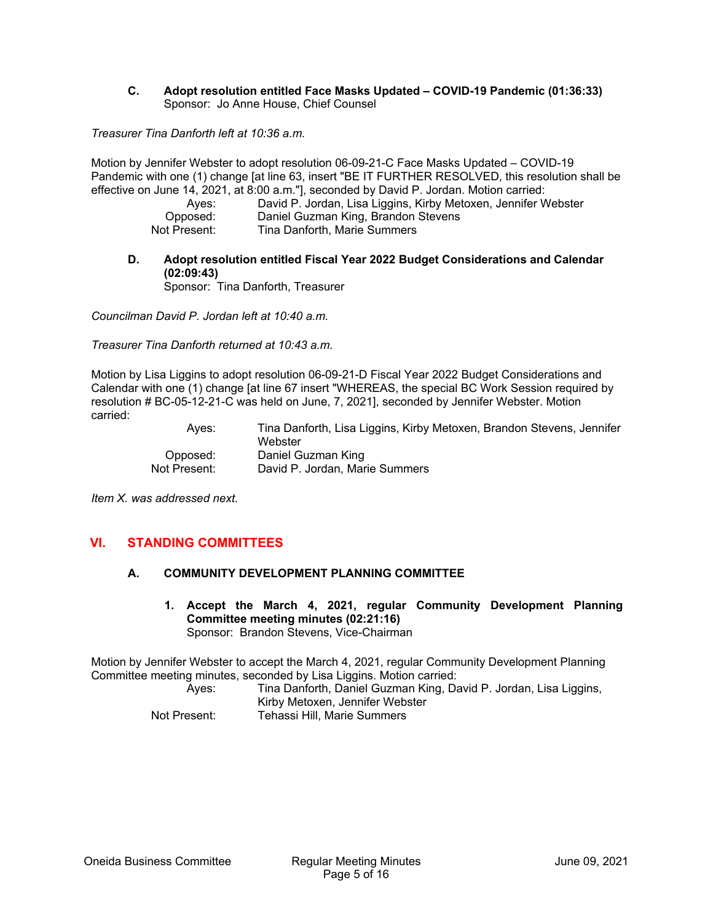**C. Adopt resolution entitled Face Masks Updated – COVID-19 Pandemic (01:36:33)**  Sponsor: Jo Anne House, Chief Counsel

*Treasurer Tina Danforth left at 10:36 a.m.* 

Motion by Jennifer Webster to adopt resolution 06-09-21-C Face Masks Updated – COVID-19 Pandemic with one (1) change [at line 63, insert "BE IT FURTHER RESOLVED, this resolution shall be effective on June 14, 2021, at 8:00 a.m."], seconded by David P. Jordan. Motion carried:

| Aves:        | David P. Jordan, Lisa Liggins, Kirby Metoxen, Jennifer Webster |
|--------------|----------------------------------------------------------------|
| Opposed:     | Daniel Guzman King, Brandon Stevens                            |
| Not Present: | Tina Danforth, Marie Summers                                   |

**D. Adopt resolution entitled Fiscal Year 2022 Budget Considerations and Calendar (02:09:43)** 

Sponsor: Tina Danforth, Treasurer

*Councilman David P. Jordan left at 10:40 a.m.* 

*Treasurer Tina Danforth returned at 10:43 a.m.* 

Motion by Lisa Liggins to adopt resolution 06-09-21-D Fiscal Year 2022 Budget Considerations and Calendar with one (1) change [at line 67 insert "WHEREAS, the special BC Work Session required by resolution # BC-05-12-21-C was held on June, 7, 2021], seconded by Jennifer Webster. Motion carried:

| Aves:        | Tina Danforth, Lisa Liggins, Kirby Metoxen, Brandon Stevens, Jennifer<br>Webster |
|--------------|----------------------------------------------------------------------------------|
| Opposed:     | Daniel Guzman King                                                               |
| Not Present: | David P. Jordan, Marie Summers                                                   |

*Item X. was addressed next.* 

# **VI. STANDING COMMITTEES**

## **A. COMMUNITY DEVELOPMENT PLANNING COMMITTEE**

**1. Accept the March 4, 2021, regular Community Development Planning Committee meeting minutes (02:21:16)**  Sponsor: Brandon Stevens, Vice-Chairman

Motion by Jennifer Webster to accept the March 4, 2021, regular Community Development Planning Committee meeting minutes, seconded by Lisa Liggins. Motion carried:

| Ayes:        | Tina Danforth, Daniel Guzman King, David P. Jordan, Lisa Liggins, |
|--------------|-------------------------------------------------------------------|
|              | Kirby Metoxen, Jennifer Webster                                   |
| Not Present: | Tehassi Hill, Marie Summers                                       |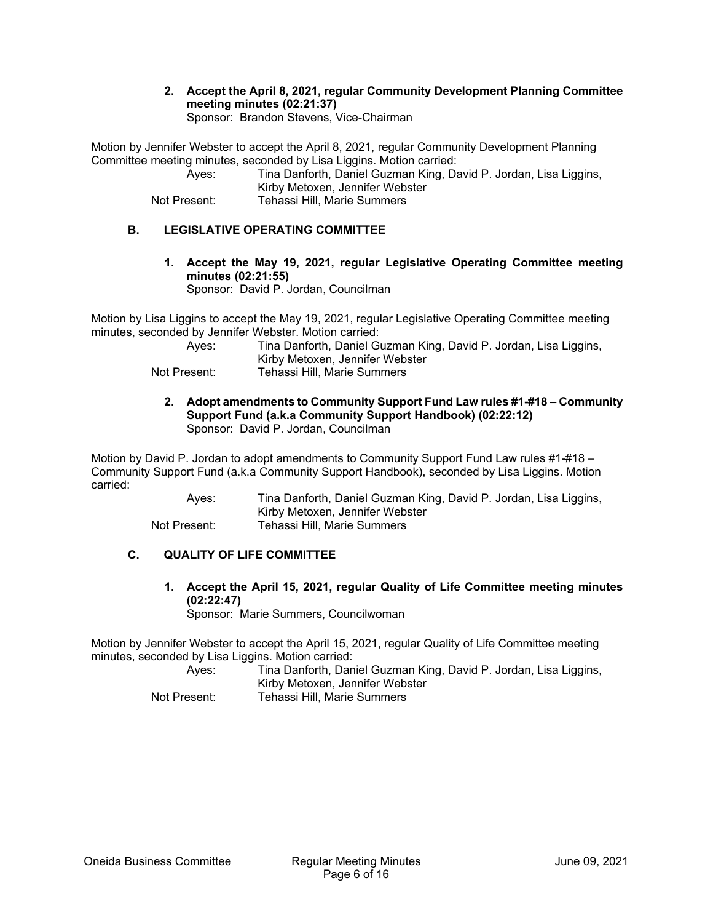#### **2. Accept the April 8, 2021, regular Community Development Planning Committee meeting minutes (02:21:37)**  Sponsor: Brandon Stevens, Vice-Chairman

Motion by Jennifer Webster to accept the April 8, 2021, regular Community Development Planning Committee meeting minutes, seconded by Lisa Liggins. Motion carried:

| Ayes:        | Tina Danforth, Daniel Guzman King, David P. Jordan, Lisa Liggins, |
|--------------|-------------------------------------------------------------------|
|              | Kirby Metoxen, Jennifer Webster                                   |
| Not Present: | Tehassi Hill, Marie Summers                                       |

## **B. LEGISLATIVE OPERATING COMMITTEE**

**1. Accept the May 19, 2021, regular Legislative Operating Committee meeting minutes (02:21:55)** 

Sponsor: David P. Jordan, Councilman

Motion by Lisa Liggins to accept the May 19, 2021, regular Legislative Operating Committee meeting minutes, seconded by Jennifer Webster. Motion carried:

| Aves:        | Tina Danforth, Daniel Guzman King, David P. Jordan, Lisa Liggins,<br>Kirby Metoxen, Jennifer Webster |
|--------------|------------------------------------------------------------------------------------------------------|
| Not Present: | Tehassi Hill, Marie Summers                                                                          |

#### **2. Adopt amendments to Community Support Fund Law rules #1-#18 – Community Support Fund (a.k.a Community Support Handbook) (02:22:12)**  Sponsor: David P. Jordan, Councilman

Motion by David P. Jordan to adopt amendments to Community Support Fund Law rules #1-#18 – Community Support Fund (a.k.a Community Support Handbook), seconded by Lisa Liggins. Motion carried:

| Aves:        | Tina Danforth, Daniel Guzman King, David P. Jordan, Lisa Liggins, |
|--------------|-------------------------------------------------------------------|
|              | Kirby Metoxen, Jennifer Webster                                   |
| Not Present: | Tehassi Hill. Marie Summers                                       |

# **C. QUALITY OF LIFE COMMITTEE**

**1. Accept the April 15, 2021, regular Quality of Life Committee meeting minutes (02:22:47)** 

Sponsor: Marie Summers, Councilwoman

Motion by Jennifer Webster to accept the April 15, 2021, regular Quality of Life Committee meeting minutes, seconded by Lisa Liggins. Motion carried:

 Ayes: Tina Danforth, Daniel Guzman King, David P. Jordan, Lisa Liggins, Kirby Metoxen, Jennifer Webster Not Present: Tehassi Hill, Marie Summers

Oneida Business Committee Regular Meeting Minutes June 09, 2021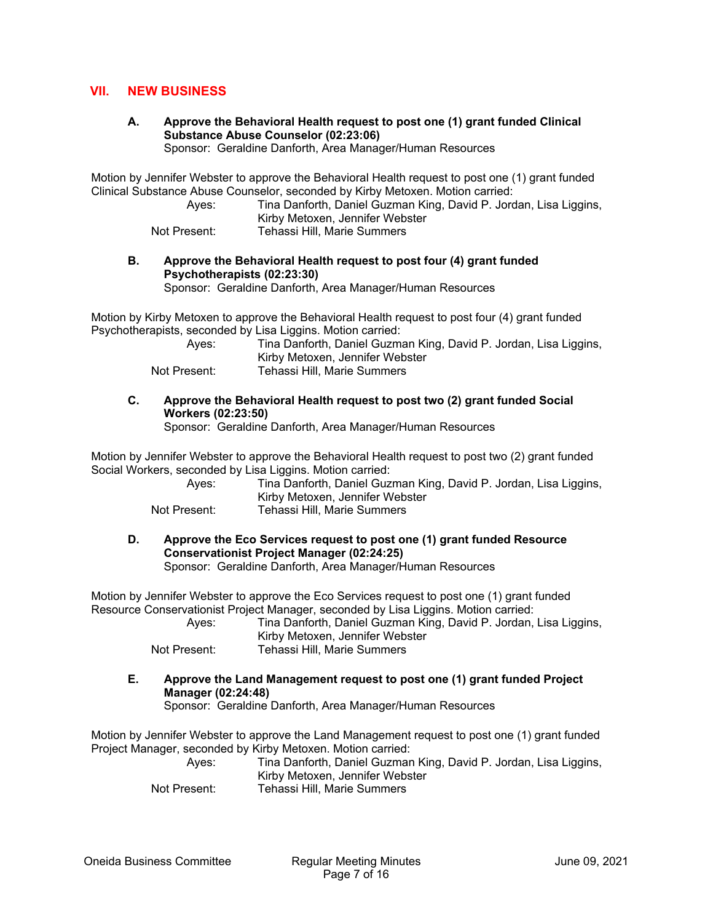## **VII. NEW BUSINESS**

**A. Approve the Behavioral Health request to post one (1) grant funded Clinical Substance Abuse Counselor (02:23:06)** 

Sponsor: Geraldine Danforth, Area Manager/Human Resources

Motion by Jennifer Webster to approve the Behavioral Health request to post one (1) grant funded Clinical Substance Abuse Counselor, seconded by Kirby Metoxen. Motion carried:

 Ayes: Tina Danforth, Daniel Guzman King, David P. Jordan, Lisa Liggins, Kirby Metoxen, Jennifer Webster

Not Present: Tehassi Hill, Marie Summers

**B. Approve the Behavioral Health request to post four (4) grant funded Psychotherapists (02:23:30)** 

Sponsor: Geraldine Danforth, Area Manager/Human Resources

Motion by Kirby Metoxen to approve the Behavioral Health request to post four (4) grant funded Psychotherapists, seconded by Lisa Liggins. Motion carried:

| Ayes:        | Tina Danforth, Daniel Guzman King, David P. Jordan, Lisa Liggins, |
|--------------|-------------------------------------------------------------------|
|              | Kirby Metoxen, Jennifer Webster                                   |
| Not Present: | Tehassi Hill, Marie Summers                                       |

**C. Approve the Behavioral Health request to post two (2) grant funded Social Workers (02:23:50)** 

Sponsor: Geraldine Danforth, Area Manager/Human Resources

Motion by Jennifer Webster to approve the Behavioral Health request to post two (2) grant funded Social Workers, seconded by Lisa Liggins. Motion carried:

| Aves:        | Tina Danforth, Daniel Guzman King, David P. Jordan, Lisa Liggins, |
|--------------|-------------------------------------------------------------------|
|              | Kirby Metoxen, Jennifer Webster                                   |
| Not Present: | Tehassi Hill, Marie Summers                                       |

**D. Approve the Eco Services request to post one (1) grant funded Resource Conservationist Project Manager (02:24:25)**  Sponsor: Geraldine Danforth, Area Manager/Human Resources

Motion by Jennifer Webster to approve the Eco Services request to post one (1) grant funded Resource Conservationist Project Manager, seconded by Lisa Liggins. Motion carried:

 Ayes: Tina Danforth, Daniel Guzman King, David P. Jordan, Lisa Liggins, Kirby Metoxen, Jennifer Webster

Not Present: Tehassi Hill, Marie Summers

**E. Approve the Land Management request to post one (1) grant funded Project Manager (02:24:48)**  Sponsor: Geraldine Danforth, Area Manager/Human Resources

Motion by Jennifer Webster to approve the Land Management request to post one (1) grant funded Project Manager, seconded by Kirby Metoxen. Motion carried:

 Ayes: Tina Danforth, Daniel Guzman King, David P. Jordan, Lisa Liggins, Kirby Metoxen, Jennifer Webster Not Present: Tehassi Hill, Marie Summers

Oneida Business Committee Regular Meeting Minutes June 09, 2021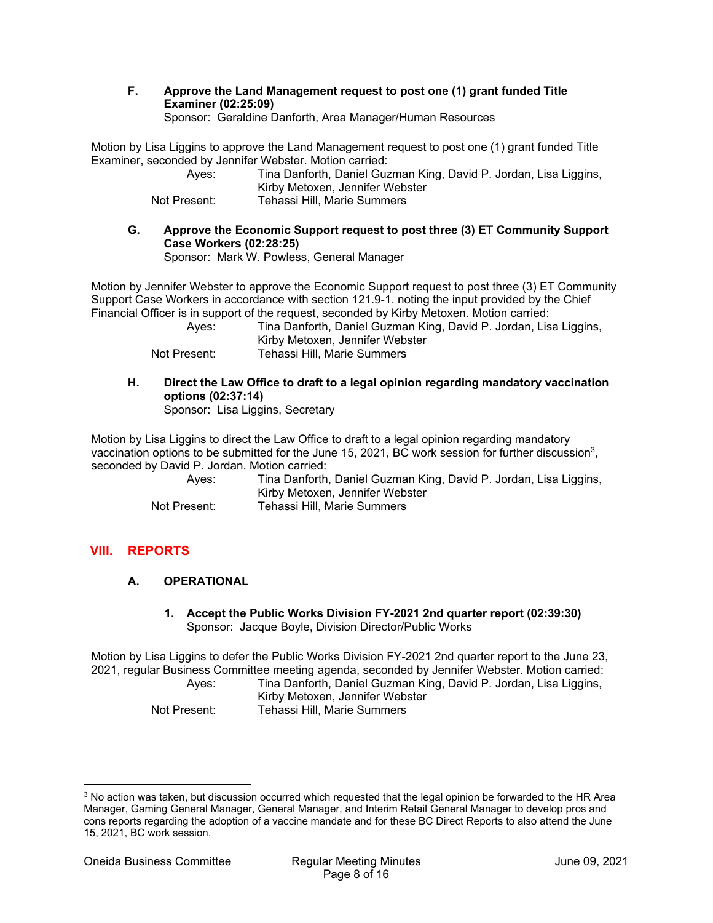**F. Approve the Land Management request to post one (1) grant funded Title Examiner (02:25:09)** 

Sponsor: Geraldine Danforth, Area Manager/Human Resources

Motion by Lisa Liggins to approve the Land Management request to post one (1) grant funded Title Examiner, seconded by Jennifer Webster. Motion carried:

| Aves:        | Tina Danforth, Daniel Guzman King, David P. Jordan, Lisa Liggins, |
|--------------|-------------------------------------------------------------------|
|              | Kirby Metoxen, Jennifer Webster                                   |
| Not Present: | Tehassi Hill, Marie Summers                                       |

**G. Approve the Economic Support request to post three (3) ET Community Support Case Workers (02:28:25)** 

Sponsor: Mark W. Powless, General Manager

Motion by Jennifer Webster to approve the Economic Support request to post three (3) ET Community Support Case Workers in accordance with section 121.9-1. noting the input provided by the Chief Financial Officer is in support of the request, seconded by Kirby Metoxen. Motion carried:

 Ayes: Tina Danforth, Daniel Guzman King, David P. Jordan, Lisa Liggins, Kirby Metoxen, Jennifer Webster Not Present: Tehassi Hill, Marie Summers

**H. Direct the Law Office to draft to a legal opinion regarding mandatory vaccination options (02:37:14)**  Sponsor: Lisa Liggins, Secretary

Motion by Lisa Liggins to direct the Law Office to draft to a legal opinion regarding mandatory vaccination options to be submitted for the June 15, 2021, BC work session for further discussion3, seconded by David P. Jordan. Motion carried:

| Ayes:        | Tina Danforth, Daniel Guzman King, David P. Jordan, Lisa Liggins, |
|--------------|-------------------------------------------------------------------|
|              | Kirby Metoxen, Jennifer Webster                                   |
| Not Present: | Tehassi Hill, Marie Summers                                       |

# **VIII. REPORTS**

## **A. OPERATIONAL**

**1. Accept the Public Works Division FY-2021 2nd quarter report (02:39:30)**  Sponsor: Jacque Boyle, Division Director/Public Works

Motion by Lisa Liggins to defer the Public Works Division FY-2021 2nd quarter report to the June 23, 2021, regular Business Committee meeting agenda, seconded by Jennifer Webster. Motion carried: Ayes: Tina Danforth, Daniel Guzman King, David P. Jordan, Lisa Liggins, Kirby Metoxen, Jennifer Webster Not Present: Tehassi Hill, Marie Summers

<sup>&</sup>lt;sup>3</sup> No action was taken, but discussion occurred which requested that the legal opinion be forwarded to the HR Area Manager, Gaming General Manager, General Manager, and Interim Retail General Manager to develop pros and cons reports regarding the adoption of a vaccine mandate and for these BC Direct Reports to also attend the June 15, 2021, BC work session.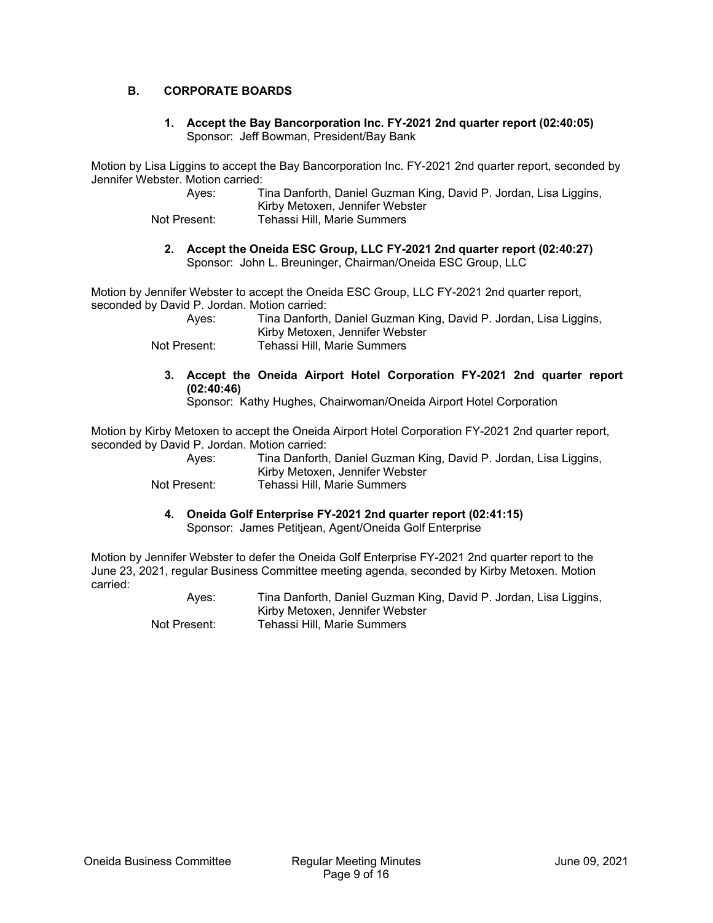## **B. CORPORATE BOARDS**

#### **1. Accept the Bay Bancorporation Inc. FY-2021 2nd quarter report (02:40:05)**  Sponsor: Jeff Bowman, President/Bay Bank

Motion by Lisa Liggins to accept the Bay Bancorporation Inc. FY-2021 2nd quarter report, seconded by Jennifer Webster. Motion carried:

| Ayes:        | Tina Danforth, Daniel Guzman King, David P. Jordan, Lisa Liggins, |
|--------------|-------------------------------------------------------------------|
|              | Kirby Metoxen, Jennifer Webster                                   |
| Not Present: | Tehassi Hill, Marie Summers                                       |

#### **2. Accept the Oneida ESC Group, LLC FY-2021 2nd quarter report (02:40:27)**  Sponsor: John L. Breuninger, Chairman/Oneida ESC Group, LLC

Motion by Jennifer Webster to accept the Oneida ESC Group, LLC FY-2021 2nd quarter report, seconded by David P. Jordan. Motion carried:

 Ayes: Tina Danforth, Daniel Guzman King, David P. Jordan, Lisa Liggins, Kirby Metoxen, Jennifer Webster Not Present: Tehassi Hill, Marie Summers

**3. Accept the Oneida Airport Hotel Corporation FY-2021 2nd quarter report (02:40:46)** 

Sponsor: Kathy Hughes, Chairwoman/Oneida Airport Hotel Corporation

Motion by Kirby Metoxen to accept the Oneida Airport Hotel Corporation FY-2021 2nd quarter report, seconded by David P. Jordan. Motion carried:

 Ayes: Tina Danforth, Daniel Guzman King, David P. Jordan, Lisa Liggins, Kirby Metoxen, Jennifer Webster Not Present: Tehassi Hill, Marie Summers

**4. Oneida Golf Enterprise FY-2021 2nd quarter report (02:41:15)**

Sponsor: James Petitjean, Agent/Oneida Golf Enterprise

Motion by Jennifer Webster to defer the Oneida Golf Enterprise FY-2021 2nd quarter report to the June 23, 2021, regular Business Committee meeting agenda, seconded by Kirby Metoxen. Motion carried: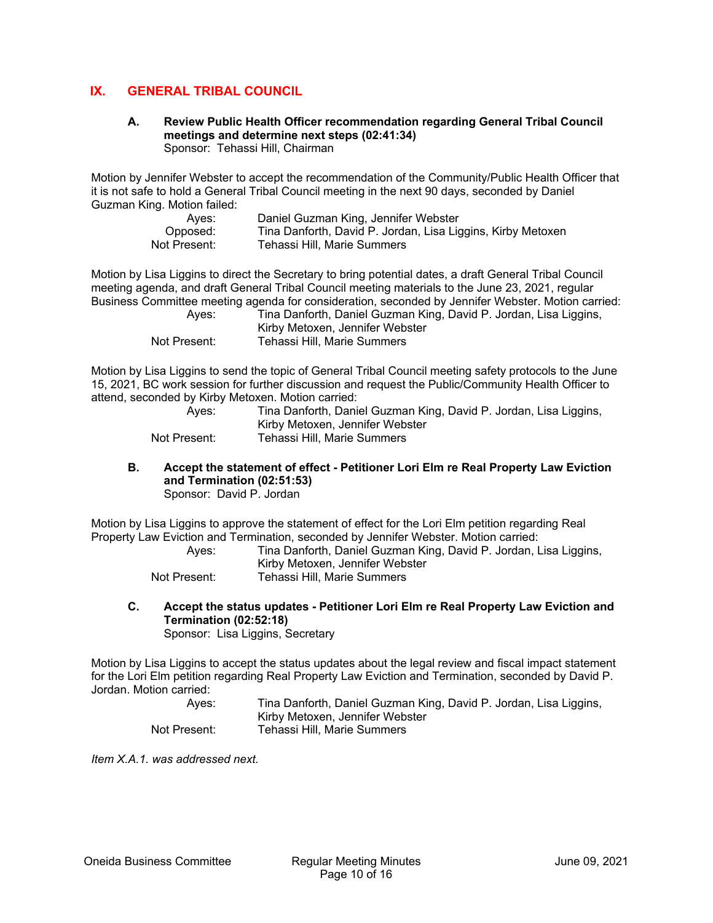# **IX. GENERAL TRIBAL COUNCIL**

#### **A. Review Public Health Officer recommendation regarding General Tribal Council meetings and determine next steps (02:41:34)**  Sponsor: Tehassi Hill, Chairman

Motion by Jennifer Webster to accept the recommendation of the Community/Public Health Officer that it is not safe to hold a General Tribal Council meeting in the next 90 days, seconded by Daniel Guzman King. Motion failed:

| Aves:        | Daniel Guzman King, Jennifer Webster                        |
|--------------|-------------------------------------------------------------|
| Opposed:     | Tina Danforth, David P. Jordan, Lisa Liggins, Kirby Metoxen |
| Not Present: | Tehassi Hill, Marie Summers                                 |

Motion by Lisa Liggins to direct the Secretary to bring potential dates, a draft General Tribal Council meeting agenda, and draft General Tribal Council meeting materials to the June 23, 2021, regular Business Committee meeting agenda for consideration, seconded by Jennifer Webster. Motion carried:

| Ayes:        | Tina Danforth, Daniel Guzman King, David P. Jordan, Lisa Liggins, |
|--------------|-------------------------------------------------------------------|
|              | Kirby Metoxen, Jennifer Webster                                   |
| Not Present: | Tehassi Hill. Marie Summers                                       |

Motion by Lisa Liggins to send the topic of General Tribal Council meeting safety protocols to the June 15, 2021, BC work session for further discussion and request the Public/Community Health Officer to attend, seconded by Kirby Metoxen. Motion carried:

| Ayes:        | Tina Danforth, Daniel Guzman King, David P. Jordan, Lisa Liggins, |
|--------------|-------------------------------------------------------------------|
|              | Kirby Metoxen, Jennifer Webster                                   |
| Not Present: | Tehassi Hill, Marie Summers                                       |

#### **B. Accept the statement of effect - Petitioner Lori Elm re Real Property Law Eviction and Termination (02:51:53)**  Sponsor: David P. Jordan

Motion by Lisa Liggins to approve the statement of effect for the Lori Elm petition regarding Real Property Law Eviction and Termination, seconded by Jennifer Webster. Motion carried:

| Aves:        | Tina Danforth, Daniel Guzman King, David P. Jordan, Lisa Liggins, |
|--------------|-------------------------------------------------------------------|
|              | Kirby Metoxen, Jennifer Webster                                   |
| Not Present: | Tehassi Hill. Marie Summers                                       |

**C. Accept the status updates - Petitioner Lori Elm re Real Property Law Eviction and Termination (02:52:18)** 

Sponsor: Lisa Liggins, Secretary

Motion by Lisa Liggins to accept the status updates about the legal review and fiscal impact statement for the Lori Elm petition regarding Real Property Law Eviction and Termination, seconded by David P. Jordan. Motion carried:

| Ayes:        | Tina Danforth, Daniel Guzman King, David P. Jordan, Lisa Liggins, |
|--------------|-------------------------------------------------------------------|
|              | Kirby Metoxen, Jennifer Webster                                   |
| Not Present: | Tehassi Hill, Marie Summers                                       |

*Item X.A.1. was addressed next.*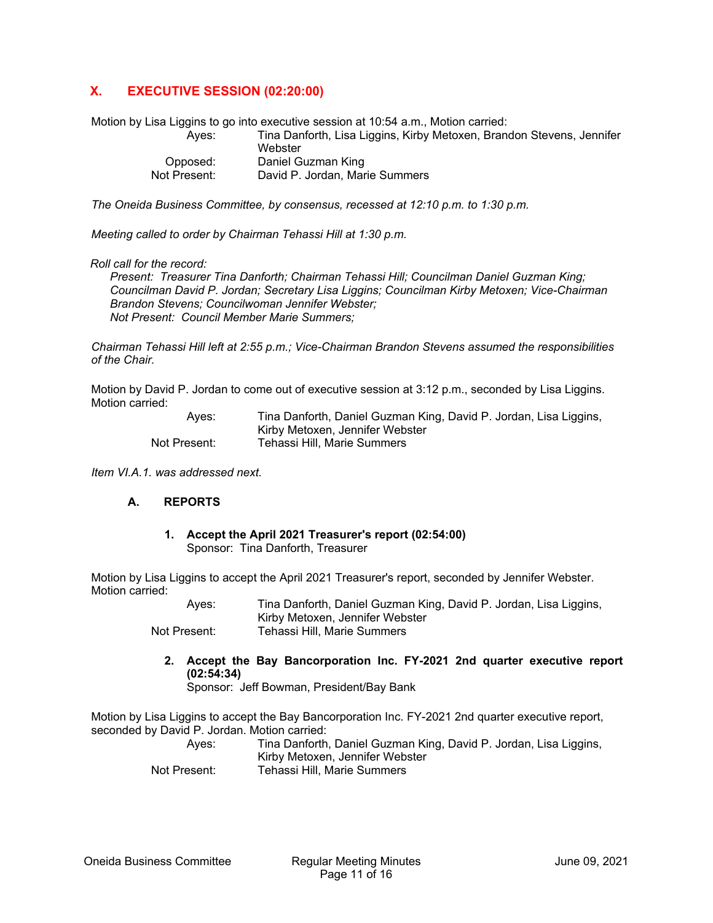# **X. EXECUTIVE SESSION (02:20:00)**

Motion by Lisa Liggins to go into executive session at 10:54 a.m., Motion carried:

| Aves:        | Tina Danforth, Lisa Liggins, Kirby Metoxen, Brandon Stevens, Jennifer<br>Webster |
|--------------|----------------------------------------------------------------------------------|
| Opposed:     | Daniel Guzman King                                                               |
| Not Present: | David P. Jordan, Marie Summers                                                   |

*The Oneida Business Committee, by consensus, recessed at 12:10 p.m. to 1:30 p.m.* 

*Meeting called to order by Chairman Tehassi Hill at 1:30 p.m.* 

#### *Roll call for the record:*

*Present: Treasurer Tina Danforth; Chairman Tehassi Hill; Councilman Daniel Guzman King; Councilman David P. Jordan; Secretary Lisa Liggins; Councilman Kirby Metoxen; Vice-Chairman Brandon Stevens; Councilwoman Jennifer Webster; Not Present: Council Member Marie Summers;* 

*Chairman Tehassi Hill left at 2:55 p.m.; Vice-Chairman Brandon Stevens assumed the responsibilities of the Chair.* 

Motion by David P. Jordan to come out of executive session at 3:12 p.m., seconded by Lisa Liggins. Motion carried:

| Ayes:        | Tina Danforth, Daniel Guzman King, David P. Jordan, Lisa Liggins, |
|--------------|-------------------------------------------------------------------|
|              | Kirby Metoxen, Jennifer Webster                                   |
| Not Present: | Tehassi Hill. Marie Summers                                       |

*Item VI.A.1. was addressed next.* 

#### **A. REPORTS**

**1. Accept the April 2021 Treasurer's report (02:54:00)**  Sponsor: Tina Danforth, Treasurer

Motion by Lisa Liggins to accept the April 2021 Treasurer's report, seconded by Jennifer Webster. Motion carried:

| Ayes:        | Tina Danforth, Daniel Guzman King, David P. Jordan, Lisa Liggins, |
|--------------|-------------------------------------------------------------------|
|              | Kirby Metoxen, Jennifer Webster                                   |
| Not Present: | Tehassi Hill. Marie Summers                                       |

**2. Accept the Bay Bancorporation Inc. FY-2021 2nd quarter executive report (02:54:34)** 

Sponsor: Jeff Bowman, President/Bay Bank

Motion by Lisa Liggins to accept the Bay Bancorporation Inc. FY-2021 2nd quarter executive report, seconded by David P. Jordan. Motion carried: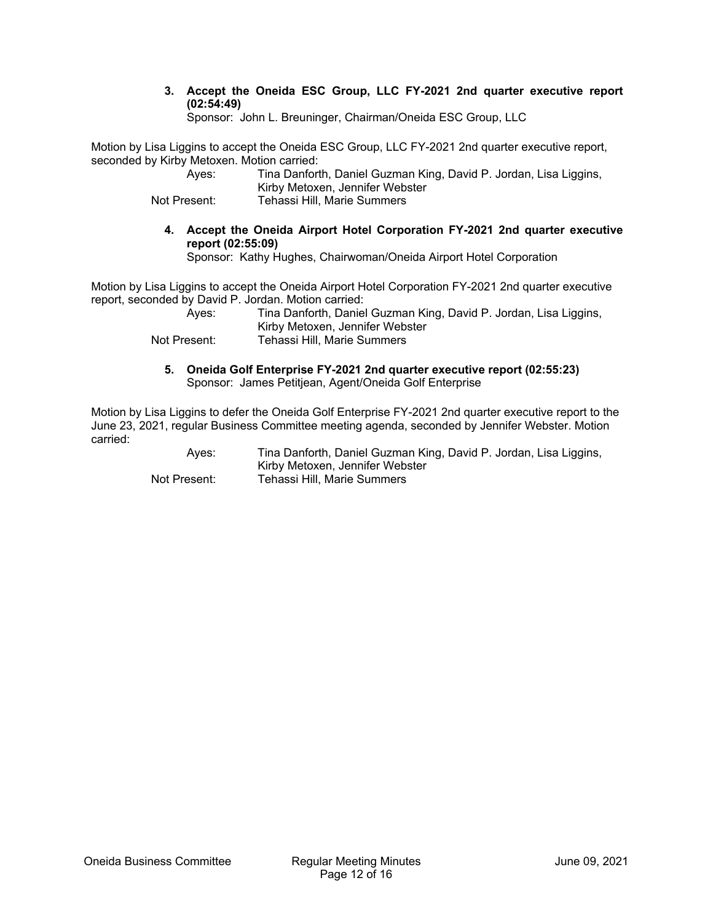#### **3. Accept the Oneida ESC Group, LLC FY-2021 2nd quarter executive report (02:54:49)**

Sponsor: John L. Breuninger, Chairman/Oneida ESC Group, LLC

Motion by Lisa Liggins to accept the Oneida ESC Group, LLC FY-2021 2nd quarter executive report, seconded by Kirby Metoxen. Motion carried:

| Ayes:        | Tina Danforth, Daniel Guzman King, David P. Jordan, Lisa Liggins, |
|--------------|-------------------------------------------------------------------|
|              | Kirby Metoxen, Jennifer Webster                                   |
| Not Present: | Tehassi Hill, Marie Summers                                       |

**4. Accept the Oneida Airport Hotel Corporation FY-2021 2nd quarter executive report (02:55:09)** 

Sponsor: Kathy Hughes, Chairwoman/Oneida Airport Hotel Corporation

Motion by Lisa Liggins to accept the Oneida Airport Hotel Corporation FY-2021 2nd quarter executive report, seconded by David P. Jordan. Motion carried:

 Ayes: Tina Danforth, Daniel Guzman King, David P. Jordan, Lisa Liggins, Kirby Metoxen, Jennifer Webster Not Present: Tehassi Hill, Marie Summers

**5. Oneida Golf Enterprise FY-2021 2nd quarter executive report (02:55:23)**  Sponsor: James Petitjean, Agent/Oneida Golf Enterprise

Motion by Lisa Liggins to defer the Oneida Golf Enterprise FY-2021 2nd quarter executive report to the June 23, 2021, regular Business Committee meeting agenda, seconded by Jennifer Webster. Motion carried: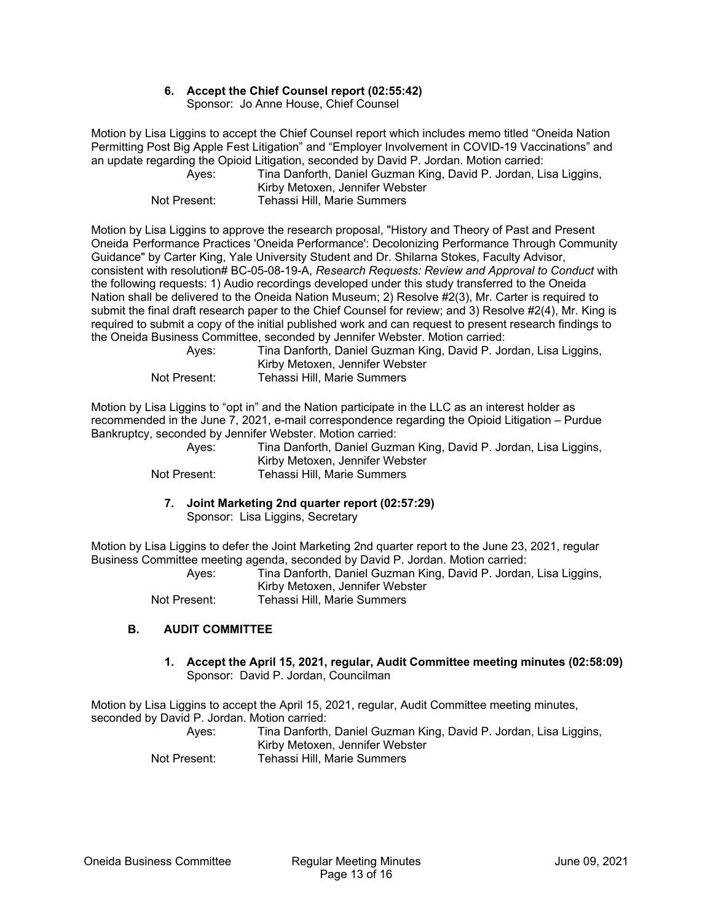## **6. Accept the Chief Counsel report (02:55:42)**

Sponsor: Jo Anne House, Chief Counsel

Motion by Lisa Liggins to accept the Chief Counsel report which includes memo titled "Oneida Nation Permitting Post Big Apple Fest Litigation" and "Employer Involvement in COVID-19 Vaccinations" and an update regarding the Opioid Litigation, seconded by David P. Jordan. Motion carried:

| Aves:        | Tina Danforth, Daniel Guzman King, David P. Jordan, Lisa Liggins, |
|--------------|-------------------------------------------------------------------|
|              | Kirby Metoxen, Jennifer Webster                                   |
| Not Present: | Tehassi Hill, Marie Summers                                       |

Motion by Lisa Liggins to approve the research proposal, "History and Theory of Past and Present Oneida Performance Practices 'Oneida Performance': Decolonizing Performance Through Community Guidance" by Carter King, Yale University Student and Dr. Shilarna Stokes, Faculty Advisor, consistent with resolution# BC-05-08-19-A, *Research Requests: Review and Approval to Conduct* with the following requests: 1) Audio recordings developed under this study transferred to the Oneida Nation shall be delivered to the Oneida Nation Museum; 2) Resolve #2(3), Mr. Carter is required to submit the final draft research paper to the Chief Counsel for review; and 3) Resolve #2(4), Mr. King is required to submit a copy of the initial published work and can request to present research findings to the Oneida Business Committee, seconded by Jennifer Webster. Motion carried:

 Ayes: Tina Danforth, Daniel Guzman King, David P. Jordan, Lisa Liggins, Kirby Metoxen, Jennifer Webster Not Present: Tehassi Hill, Marie Summers

Motion by Lisa Liggins to "opt in" and the Nation participate in the LLC as an interest holder as recommended in the June 7, 2021, e-mail correspondence regarding the Opioid Litigation – Purdue Bankruptcy, seconded by Jennifer Webster. Motion carried:

| Aves:        | Tina Danforth, Daniel Guzman King, David P. Jordan, Lisa Liggins, |
|--------------|-------------------------------------------------------------------|
|              | Kirby Metoxen, Jennifer Webster                                   |
| Not Present: | Tehassi Hill, Marie Summers                                       |
|              |                                                                   |

**7. Joint Marketing 2nd quarter report (02:57:29)**  Sponsor: Lisa Liggins, Secretary

Motion by Lisa Liggins to defer the Joint Marketing 2nd quarter report to the June 23, 2021, regular Business Committee meeting agenda, seconded by David P. Jordan. Motion carried:

| Ayes:        | Tina Danforth, Daniel Guzman King, David P. Jordan, Lisa Liggins, |
|--------------|-------------------------------------------------------------------|
|              | Kirby Metoxen, Jennifer Webster                                   |
| Not Present: | Tehassi Hill, Marie Summers                                       |

## **B. AUDIT COMMITTEE**

**1. Accept the April 15, 2021, regular, Audit Committee meeting minutes (02:58:09)**  Sponsor: David P. Jordan, Councilman

Motion by Lisa Liggins to accept the April 15, 2021, regular, Audit Committee meeting minutes, seconded by David P. Jordan. Motion carried:

| Aves:        | Tina Danforth, Daniel Guzman King, David P. Jordan, Lisa Liggins, |
|--------------|-------------------------------------------------------------------|
|              | Kirby Metoxen, Jennifer Webster                                   |
| Not Present: | Tehassi Hill, Marie Summers                                       |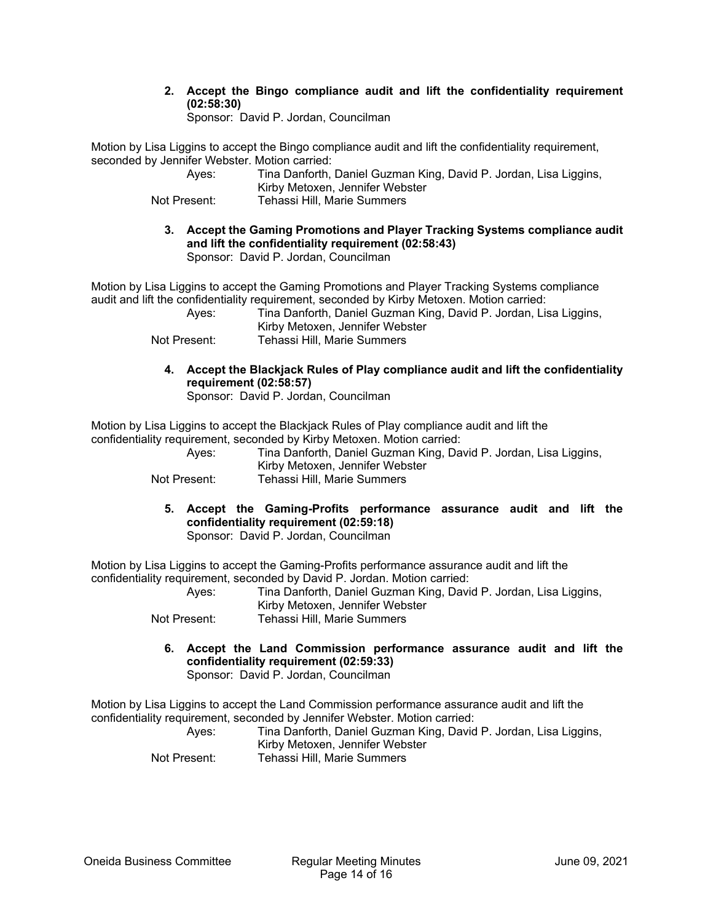**2. Accept the Bingo compliance audit and lift the confidentiality requirement (02:58:30)** 

Sponsor: David P. Jordan, Councilman

Motion by Lisa Liggins to accept the Bingo compliance audit and lift the confidentiality requirement, seconded by Jennifer Webster. Motion carried:

| Aves:        | Tina Danforth, Daniel Guzman King, David P. Jordan, Lisa Liggins, |
|--------------|-------------------------------------------------------------------|
|              | Kirby Metoxen, Jennifer Webster                                   |
| Not Present: | Tehassi Hill, Marie Summers                                       |

**3. Accept the Gaming Promotions and Player Tracking Systems compliance audit and lift the confidentiality requirement (02:58:43)**  Sponsor: David P. Jordan, Councilman

Motion by Lisa Liggins to accept the Gaming Promotions and Player Tracking Systems compliance audit and lift the confidentiality requirement, seconded by Kirby Metoxen. Motion carried:

 Ayes: Tina Danforth, Daniel Guzman King, David P. Jordan, Lisa Liggins, Kirby Metoxen, Jennifer Webster

Not Present: Tehassi Hill, Marie Summers

**4. Accept the Blackjack Rules of Play compliance audit and lift the confidentiality requirement (02:58:57)** 

Sponsor: David P. Jordan, Councilman

Motion by Lisa Liggins to accept the Blackjack Rules of Play compliance audit and lift the confidentiality requirement, seconded by Kirby Metoxen. Motion carried:

> Ayes: Tina Danforth, Daniel Guzman King, David P. Jordan, Lisa Liggins, Kirby Metoxen, Jennifer Webster Not Present: Tehassi Hill, Marie Summers

**5. Accept the Gaming-Profits performance assurance audit and lift the confidentiality requirement (02:59:18)** 

Sponsor: David P. Jordan, Councilman

Motion by Lisa Liggins to accept the Gaming-Profits performance assurance audit and lift the confidentiality requirement, seconded by David P. Jordan. Motion carried:

| Aves:        | Tina Danforth, Daniel Guzman King, David P. Jordan, Lisa Liggins, |
|--------------|-------------------------------------------------------------------|
|              | Kirby Metoxen, Jennifer Webster                                   |
| Not Present: | Tehassi Hill, Marie Summers                                       |

**6. Accept the Land Commission performance assurance audit and lift the confidentiality requirement (02:59:33)**  Sponsor: David P. Jordan, Councilman

Motion by Lisa Liggins to accept the Land Commission performance assurance audit and lift the confidentiality requirement, seconded by Jennifer Webster. Motion carried: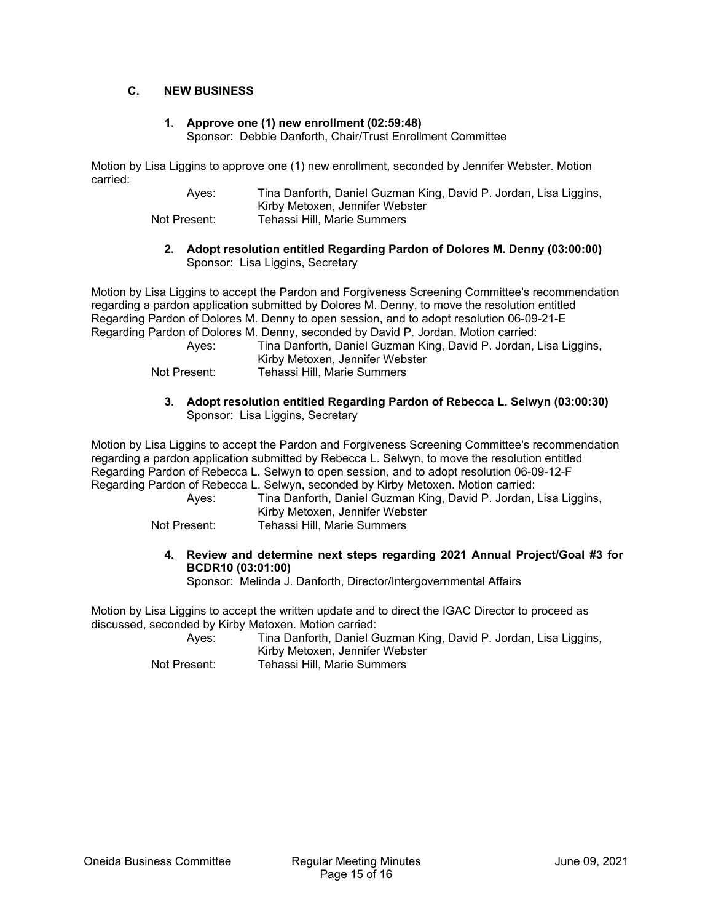## **C. NEW BUSINESS**

## **1. Approve one (1) new enrollment (02:59:48)**

Sponsor: Debbie Danforth, Chair/Trust Enrollment Committee

Motion by Lisa Liggins to approve one (1) new enrollment, seconded by Jennifer Webster. Motion carried:

| Aves:        | Tina Danforth, Daniel Guzman King, David P. Jordan, Lisa Liggins, |
|--------------|-------------------------------------------------------------------|
|              | Kirby Metoxen, Jennifer Webster                                   |
| Not Present: | Tehassi Hill. Marie Summers                                       |

#### **2. Adopt resolution entitled Regarding Pardon of Dolores M. Denny (03:00:00)**  Sponsor: Lisa Liggins, Secretary

Motion by Lisa Liggins to accept the Pardon and Forgiveness Screening Committee's recommendation regarding a pardon application submitted by Dolores M. Denny, to move the resolution entitled Regarding Pardon of Dolores M. Denny to open session, and to adopt resolution 06-09-21-E Regarding Pardon of Dolores M. Denny, seconded by David P. Jordan. Motion carried: Ayes: Tina Danforth, Daniel Guzman King, David P. Jordan, Lisa Liggins, Kirby Metoxen, Jennifer Webster

Not Present: Tehassi Hill, Marie Summers

### **3. Adopt resolution entitled Regarding Pardon of Rebecca L. Selwyn (03:00:30)**  Sponsor: Lisa Liggins, Secretary

Motion by Lisa Liggins to accept the Pardon and Forgiveness Screening Committee's recommendation regarding a pardon application submitted by Rebecca L. Selwyn, to move the resolution entitled Regarding Pardon of Rebecca L. Selwyn to open session, and to adopt resolution 06-09-12-F Regarding Pardon of Rebecca L. Selwyn, seconded by Kirby Metoxen. Motion carried:

| $\sim$ | Ayes:        | Tina Danforth, Daniel Guzman King, David P. Jordan, Lisa Liggins, |
|--------|--------------|-------------------------------------------------------------------|
|        |              | Kirby Metoxen, Jennifer Webster                                   |
|        | Not Present: | Tehassi Hill, Marie Summers                                       |

## **4. Review and determine next steps regarding 2021 Annual Project/Goal #3 for BCDR10 (03:01:00)**

Sponsor: Melinda J. Danforth, Director/Intergovernmental Affairs

Motion by Lisa Liggins to accept the written update and to direct the IGAC Director to proceed as discussed, seconded by Kirby Metoxen. Motion carried:

| Aves:        | Tina Danforth, Daniel Guzman King, David P. Jordan, Lisa Liggins, |
|--------------|-------------------------------------------------------------------|
|              | Kirby Metoxen, Jennifer Webster                                   |
| Not Present: | Tehassi Hill, Marie Summers                                       |